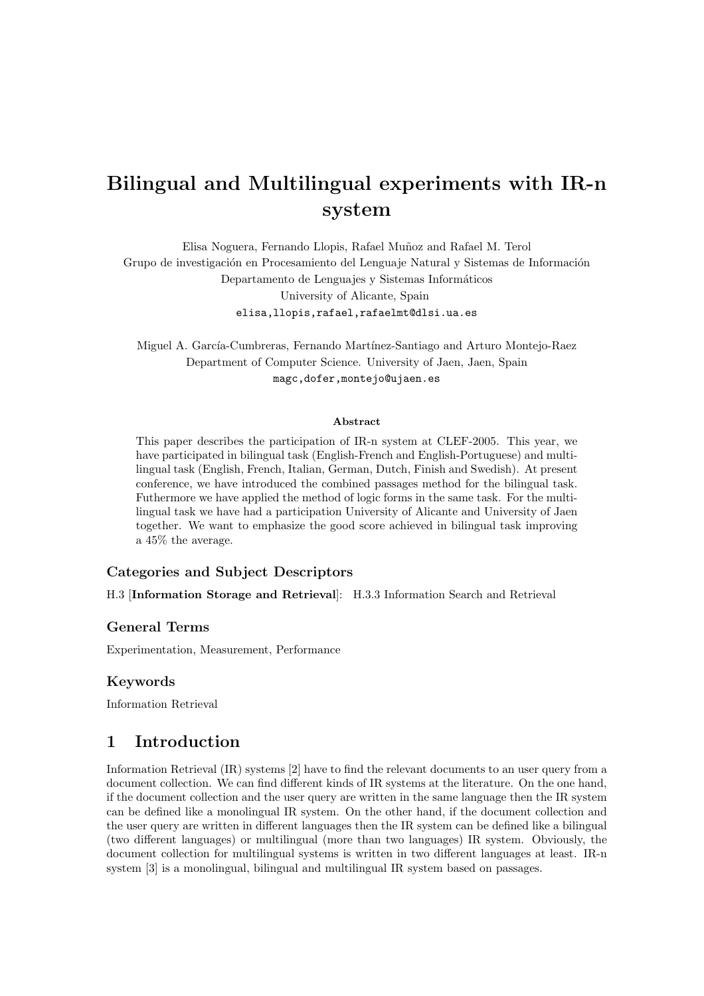# Bilingual and Multilingual experiments with IR-n system

Elisa Noguera, Fernando Llopis, Rafael Mu˜noz and Rafael M. Terol Grupo de investigación en Procesamiento del Lenguaje Natural y Sistemas de Información Departamento de Lenguajes y Sistemas Informáticos University of Alicante, Spain elisa,llopis,rafael,rafaelmt@dlsi.ua.es

Miguel A. García-Cumbreras, Fernando Martínez-Santiago and Arturo Montejo-Raez Department of Computer Science. University of Jaen, Jaen, Spain magc,dofer,montejo@ujaen.es

#### Abstract

This paper describes the participation of IR-n system at CLEF-2005. This year, we have participated in bilingual task (English-French and English-Portuguese) and multilingual task (English, French, Italian, German, Dutch, Finish and Swedish). At present conference, we have introduced the combined passages method for the bilingual task. Futhermore we have applied the method of logic forms in the same task. For the multilingual task we have had a participation University of Alicante and University of Jaen together. We want to emphasize the good score achieved in bilingual task improving a 45% the average.

# Categories and Subject Descriptors

H.3 [Information Storage and Retrieval]: H.3.3 Information Search and Retrieval

#### General Terms

Experimentation, Measurement, Performance

## Keywords

Information Retrieval

# 1 Introduction

Information Retrieval (IR) systems [2] have to find the relevant documents to an user query from a document collection. We can find different kinds of IR systems at the literature. On the one hand, if the document collection and the user query are written in the same language then the IR system can be defined like a monolingual IR system. On the other hand, if the document collection and the user query are written in different languages then the IR system can be defined like a bilingual (two different languages) or multilingual (more than two languages) IR system. Obviously, the document collection for multilingual systems is written in two different languages at least. IR-n system [3] is a monolingual, bilingual and multilingual IR system based on passages.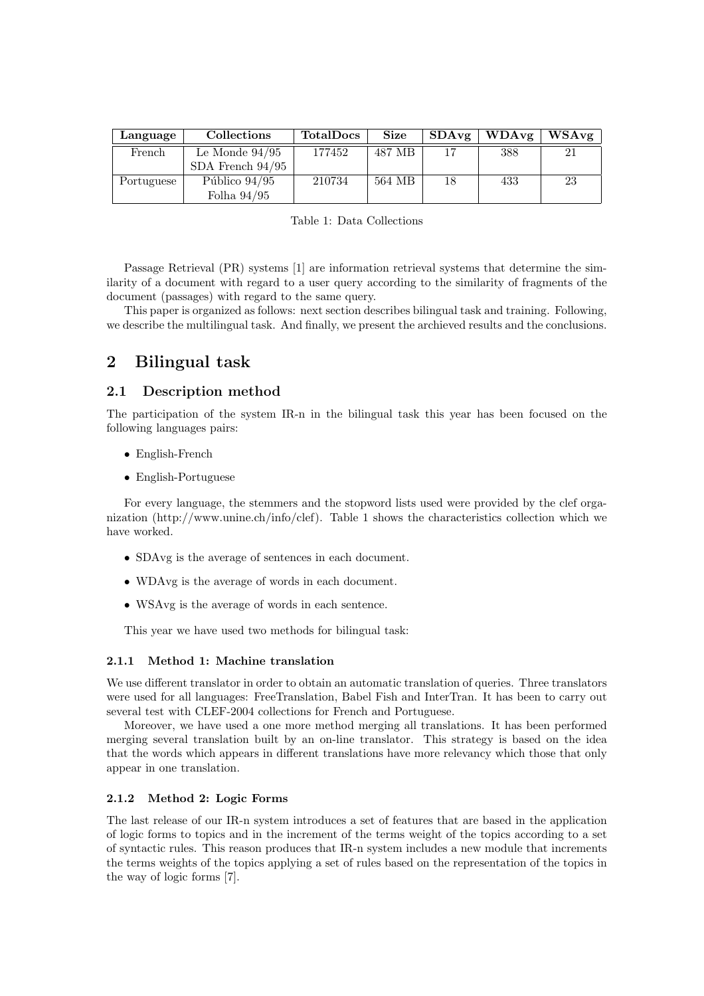| Language   | <b>Collections</b> | <b>TotalDocs</b> | <b>Size</b> | SDAvg | <b>WDAvg</b> | WSAvg |
|------------|--------------------|------------------|-------------|-------|--------------|-------|
| French     | Le Monde $94/95$   | 177452           | 487 MB      |       | 388          | 21    |
|            | SDA French $94/95$ |                  |             |       |              |       |
| Portuguese | Público $94/95$    | 210734           | 564 MB      | 18    | 433          | 23    |
|            | Folha $94/95$      |                  |             |       |              |       |

Table 1: Data Collections

Passage Retrieval (PR) systems [1] are information retrieval systems that determine the similarity of a document with regard to a user query according to the similarity of fragments of the document (passages) with regard to the same query.

This paper is organized as follows: next section describes bilingual task and training. Following, we describe the multilingual task. And finally, we present the archieved results and the conclusions.

# 2 Bilingual task

## 2.1 Description method

The participation of the system IR-n in the bilingual task this year has been focused on the following languages pairs:

- English-French
- English-Portuguese

For every language, the stemmers and the stopword lists used were provided by the clef organization (http://www.unine.ch/info/clef). Table 1 shows the characteristics collection which we have worked.

- SDAvg is the average of sentences in each document.
- WDAvg is the average of words in each document.
- WSAvg is the average of words in each sentence.

This year we have used two methods for bilingual task:

## 2.1.1 Method 1: Machine translation

We use different translator in order to obtain an automatic translation of queries. Three translators were used for all languages: FreeTranslation, Babel Fish and InterTran. It has been to carry out several test with CLEF-2004 collections for French and Portuguese.

Moreover, we have used a one more method merging all translations. It has been performed merging several translation built by an on-line translator. This strategy is based on the idea that the words which appears in different translations have more relevancy which those that only appear in one translation.

#### 2.1.2 Method 2: Logic Forms

The last release of our IR-n system introduces a set of features that are based in the application of logic forms to topics and in the increment of the terms weight of the topics according to a set of syntactic rules. This reason produces that IR-n system includes a new module that increments the terms weights of the topics applying a set of rules based on the representation of the topics in the way of logic forms [7].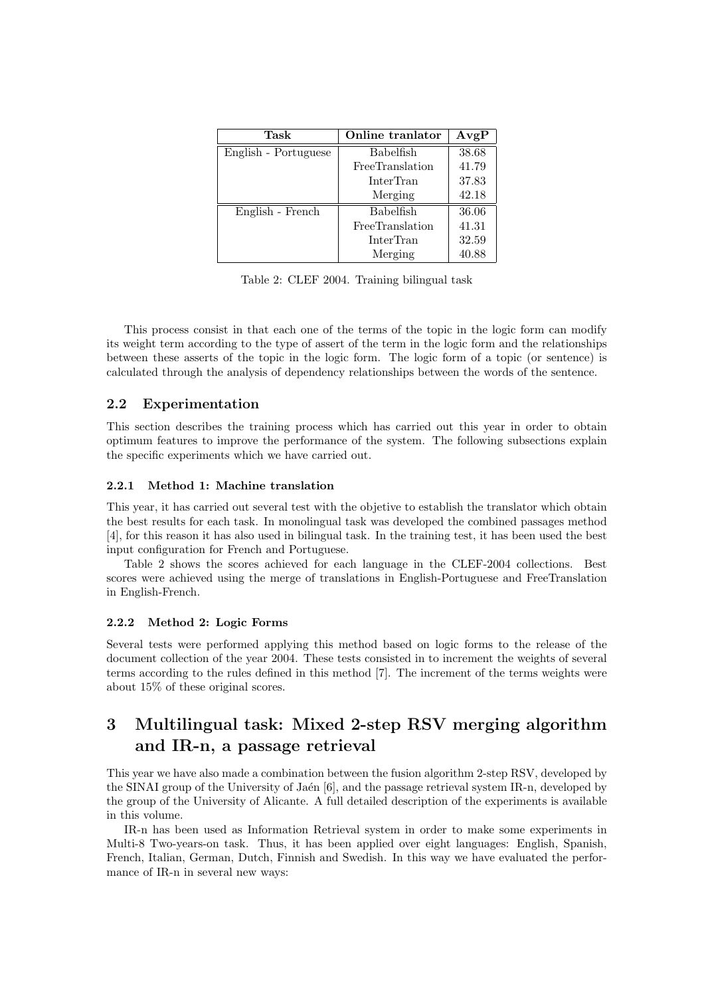| Task                 | Online tranlator | AvgP  |
|----------------------|------------------|-------|
| English - Portuguese | <b>Babelfish</b> | 38.68 |
|                      | FreeTranslation  | 41.79 |
|                      | InterTran        | 37.83 |
|                      | Merging          | 42.18 |
| English - French     | <b>Babelfish</b> | 36.06 |
|                      | FreeTranslation  | 41.31 |
|                      | InterTran        | 32.59 |
|                      | Merging          | 40.88 |

Table 2: CLEF 2004. Training bilingual task

This process consist in that each one of the terms of the topic in the logic form can modify its weight term according to the type of assert of the term in the logic form and the relationships between these asserts of the topic in the logic form. The logic form of a topic (or sentence) is calculated through the analysis of dependency relationships between the words of the sentence.

# 2.2 Experimentation

This section describes the training process which has carried out this year in order to obtain optimum features to improve the performance of the system. The following subsections explain the specific experiments which we have carried out.

## 2.2.1 Method 1: Machine translation

This year, it has carried out several test with the objetive to establish the translator which obtain the best results for each task. In monolingual task was developed the combined passages method [4], for this reason it has also used in bilingual task. In the training test, it has been used the best input configuration for French and Portuguese.

Table 2 shows the scores achieved for each language in the CLEF-2004 collections. Best scores were achieved using the merge of translations in English-Portuguese and FreeTranslation in English-French.

## 2.2.2 Method 2: Logic Forms

Several tests were performed applying this method based on logic forms to the release of the document collection of the year 2004. These tests consisted in to increment the weights of several terms according to the rules defined in this method [7]. The increment of the terms weights were about 15% of these original scores.

# 3 Multilingual task: Mixed 2-step RSV merging algorithm and IR-n, a passage retrieval

This year we have also made a combination between the fusion algorithm 2-step RSV, developed by the SINAI group of the University of Jaén [6], and the passage retrieval system IR-n, developed by the group of the University of Alicante. A full detailed description of the experiments is available in this volume.

IR-n has been used as Information Retrieval system in order to make some experiments in Multi-8 Two-years-on task. Thus, it has been applied over eight languages: English, Spanish, French, Italian, German, Dutch, Finnish and Swedish. In this way we have evaluated the performance of IR-n in several new ways: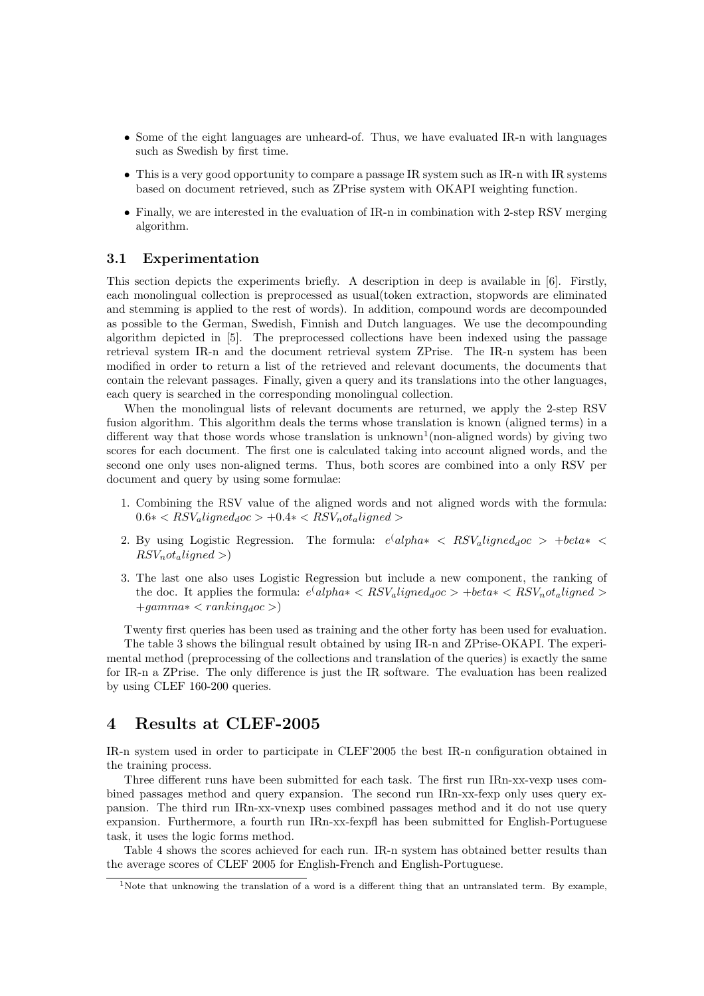- Some of the eight languages are unheard-of. Thus, we have evaluated IR-n with languages such as Swedish by first time.
- This is a very good opportunity to compare a passage IR system such as IR-n with IR systems based on document retrieved, such as ZPrise system with OKAPI weighting function.
- Finally, we are interested in the evaluation of IR-n in combination with 2-step RSV merging algorithm.

## 3.1 Experimentation

This section depicts the experiments briefly. A description in deep is available in [6]. Firstly, each monolingual collection is preprocessed as usual(token extraction, stopwords are eliminated and stemming is applied to the rest of words). In addition, compound words are decompounded as possible to the German, Swedish, Finnish and Dutch languages. We use the decompounding algorithm depicted in [5]. The preprocessed collections have been indexed using the passage retrieval system IR-n and the document retrieval system ZPrise. The IR-n system has been modified in order to return a list of the retrieved and relevant documents, the documents that contain the relevant passages. Finally, given a query and its translations into the other languages, each query is searched in the corresponding monolingual collection.

When the monolingual lists of relevant documents are returned, we apply the 2-step RSV fusion algorithm. This algorithm deals the terms whose translation is known (aligned terms) in a different way that those words whose translation is unknown<sup>1</sup> (non-aligned words) by giving two scores for each document. The first one is calculated taking into account aligned words, and the second one only uses non-aligned terms. Thus, both scores are combined into a only RSV per document and query by using some formulae:

- 1. Combining the RSV value of the aligned words and not aligned words with the formula:  $0.6* < RSV_{a}$ ligned<sub>d</sub>oc > +0.4\* <  $RSV_{n}$ ot<sub>a</sub>ligned >
- 2. By using Logistic Regression. The formula:  $e^{\int a l p h a*} < RSV_a$  *ligned<sub>d</sub>oc* > +*beta\** <  $RSV<sub>n</sub>ot<sub>a</sub> ligned >)$
- 3. The last one also uses Logistic Regression but include a new component, the ranking of the doc. It applies the formula:  $e^{\langle \text{alpha} \times RSV_{\text{a}} \rangle}$  and  $\langle \text{alpha} \times RSV_{\text{a}} \rangle$  $+gamma* < ranking<sub>d</sub>oc$ )

Twenty first queries has been used as training and the other forty has been used for evaluation. The table 3 shows the bilingual result obtained by using IR-n and ZPrise-OKAPI. The experimental method (preprocessing of the collections and translation of the queries) is exactly the same for IR-n a ZPrise. The only difference is just the IR software. The evaluation has been realized by using CLEF 160-200 queries.

# 4 Results at CLEF-2005

IR-n system used in order to participate in CLEF'2005 the best IR-n configuration obtained in the training process.

Three different runs have been submitted for each task. The first run IRn-xx-vexp uses combined passages method and query expansion. The second run IRn-xx-fexp only uses query expansion. The third run IRn-xx-vnexp uses combined passages method and it do not use query expansion. Furthermore, a fourth run IRn-xx-fexpfl has been submitted for English-Portuguese task, it uses the logic forms method.

Table 4 shows the scores achieved for each run. IR-n system has obtained better results than the average scores of CLEF 2005 for English-French and English-Portuguese.

<sup>&</sup>lt;sup>1</sup>Note that unknowing the translation of a word is a different thing that an untranslated term. By example,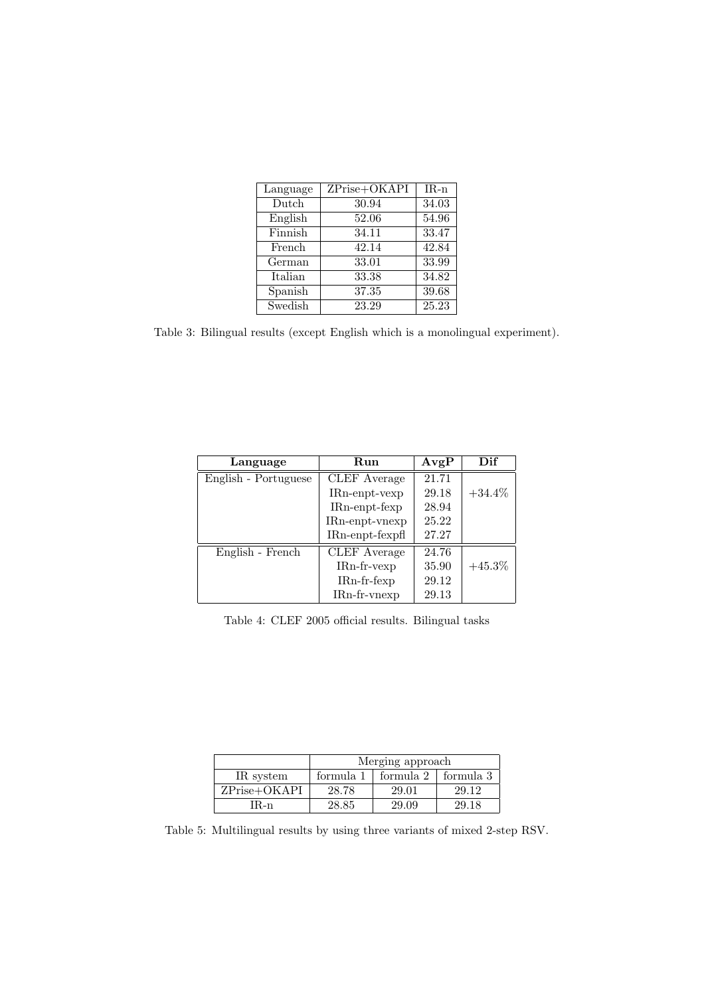| Language | ZPrise+OKAPI | $IR-n$ |
|----------|--------------|--------|
| Dutch    | 30.94        | 34.03  |
| English  | 52.06        | 54.96  |
| Finnish  | 34.11        | 33.47  |
| French   | 42.14        | 42.84  |
| German   | 33.01        | 33.99  |
| Italian  | 33.38        | 34.82  |
| Spanish  | 37.35        | 39.68  |
| Swedish  | 23.29        | 25.23  |

Table 3: Bilingual results (except English which is a monolingual experiment).

| Language             | $\rm Run$           | AvgP  | Dif       |
|----------------------|---------------------|-------|-----------|
| English - Portuguese | <b>CLEF</b> Average | 21.71 |           |
|                      | $IRn$ -enpt-vexp    | 29.18 | $+34.4\%$ |
|                      | $IRn$ -enpt-fexp    | 28.94 |           |
|                      | $IRn$ -enpt-vnexp   | 25.22 |           |
|                      | $IRn$ -enpt-fexpfl  | 27.27 |           |
| English - French     | <b>CLEF</b> Average | 24.76 |           |
|                      | $IRn$ -fr- $vexp$   | 35.90 | $+45.3\%$ |
|                      | IRn-fr-fexp         | 29.12 |           |
|                      | $IRn-fr-vnexp$      | 29.13 |           |

Table 4: CLEF 2005 official results. Bilingual tasks

|              | Merging approach |           |           |  |
|--------------|------------------|-----------|-----------|--|
| IR system    | formula 1        | formula 2 | formula 3 |  |
| ZPrise+OKAPI | 28.78            | 29.01     | 29.12     |  |
| IR-n-        | 28.85            | 29.09     | 29.18     |  |

Table 5: Multilingual results by using three variants of mixed 2-step RSV.